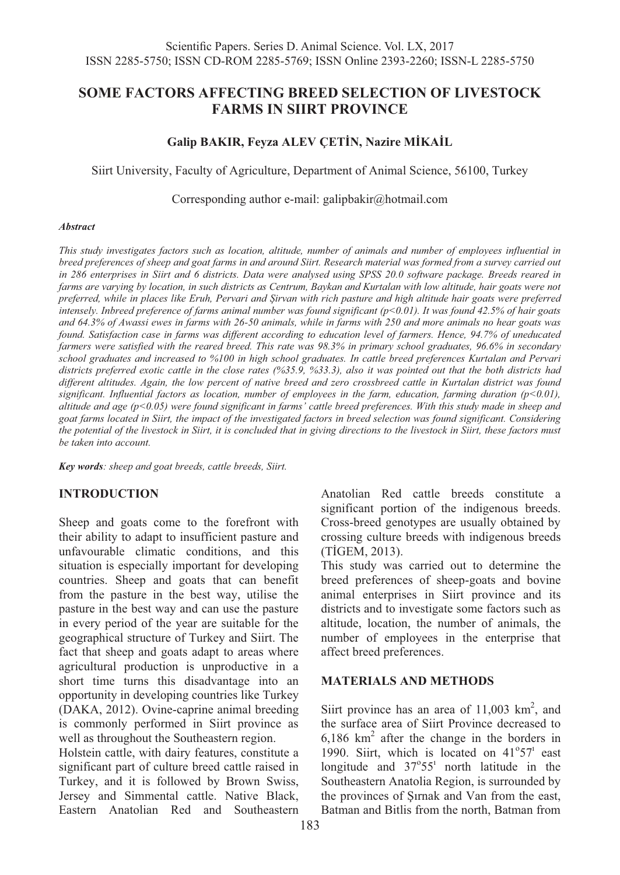# **SOME FACTORS AFFECTING BREED SELECTION OF LIVESTOCK FARMS IN SIIRT PROVINCE**

## **Galip BAKIR, Feyza ALEV ÇETİN, Nazire MİKAİL**

Siirt University, Faculty of Agriculture, Department of Animal Science, 56100, Turkey

Corresponding author e-mail: galipbakir@hotmail.com

#### *Abstract*

*This study investigates factors such as location, altitude, number of animals and number of employees influential in breed preferences of sheep and goat farms in and around Siirt. Research material was formed from a survey carried out in 286 enterprises in Siirt and 6 districts. Data were analysed using SPSS 20.0 software package. Breeds reared in farms are varying by location, in such districts as Centrum, Baykan and Kurtalan with low altitude, hair goats were not preferred, while in places like Eruh, Pervari and Şirvan with rich pasture and high altitude hair goats were preferred intensely. Inbreed preference of farms animal number was found significant (p<0.01). It was found 42.5% of hair goats and 64.3% of Awassi ewes in farms with 26-50 animals, while in farms with 250 and more animals no hear goats was found. Satisfaction case in farms was different according to education level of farmers. Hence, 94.7% of uneducated farmers were satisfied with the reared breed. This rate was 98.3% in primary school graduates, 96.6% in secondary school graduates and increased to %100 in high school graduates. In cattle breed preferences Kurtalan and Pervari districts preferred exotic cattle in the close rates (%35.9, %33.3), also it was pointed out that the both districts had different altitudes. Again, the low percent of native breed and zero crossbreed cattle in Kurtalan district was found significant. Influential factors as location, number of employees in the farm, education, farming duration (p<0.01), altitude and age (p<0.05) were found significant in farms' cattle breed preferences. With this study made in sheep and goat farms located in Siirt, the impact of the investigated factors in breed selection was found significant. Considering the potential of the livestock in Siirt, it is concluded that in giving directions to the livestock in Siirt, these factors must be taken into account.* 

*Key words: sheep and goat breeds, cattle breeds, Siirt.* 

## **INTRODUCTION**

Sheep and goats come to the forefront with their ability to adapt to insufficient pasture and unfavourable climatic conditions, and this situation is especially important for developing countries. Sheep and goats that can benefit from the pasture in the best way, utilise the pasture in the best way and can use the pasture in every period of the year are suitable for the geographical structure of Turkey and Siirt. The fact that sheep and goats adapt to areas where agricultural production is unproductive in a short time turns this disadvantage into an opportunity in developing countries like Turkey (DAKA, 2012). Ovine-caprine animal breeding is commonly performed in Siirt province as well as throughout the Southeastern region.

Holstein cattle, with dairy features, constitute a significant part of culture breed cattle raised in Turkey, and it is followed by Brown Swiss, Jersey and Simmental cattle. Native Black, Eastern Anatolian Red and Southeastern Anatolian Red cattle breeds constitute a significant portion of the indigenous breeds. Cross-breed genotypes are usually obtained by crossing culture breeds with indigenous breeds (TİGEM, 2013).

This study was carried out to determine the breed preferences of sheep-goats and bovine animal enterprises in Siirt province and its districts and to investigate some factors such as altitude, location, the number of animals, the number of employees in the enterprise that affect breed preferences.

### **MATERIALS AND METHODS**

Siirt province has an area of  $11,003$  km<sup>2</sup>, and the surface area of Siirt Province decreased to  $6,186$  km<sup>2</sup> after the change in the borders in 1990. Siirt, which is located on  $41^{\circ}57^{\circ}$  east longitude and 37°55' north latitude in the Southeastern Anatolia Region, is surrounded by the provinces of Şırnak and Van from the east, Batman and Bitlis from the north, Batman from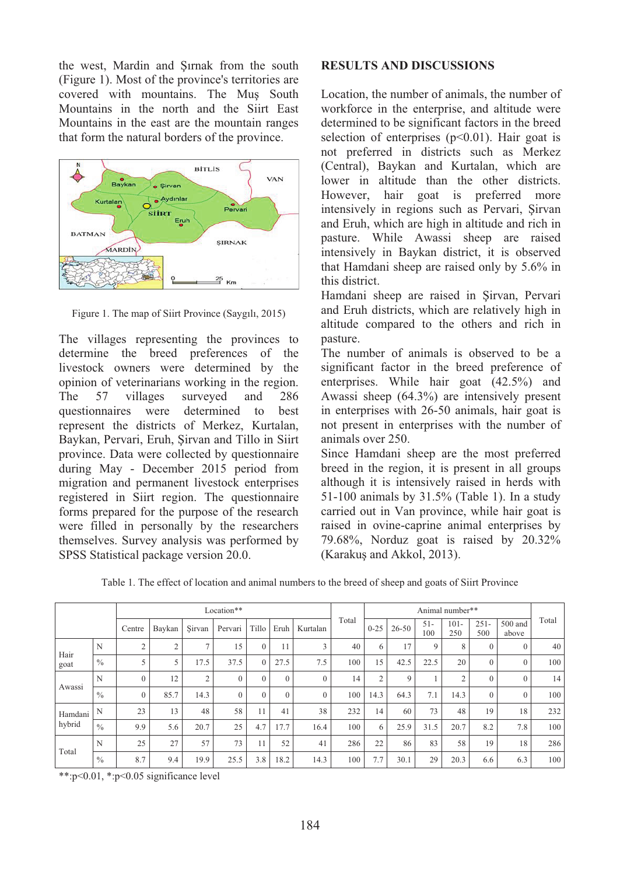the west, Mardin and Şırnak from the south (Figure 1). Most of the province's territories are covered with mountains. The Muş South Mountains in the north and the Siirt East Mountains in the east are the mountain ranges that form the natural borders of the province.



Figure 1. The map of Siirt Province (Saygılı, 2015)

The villages representing the provinces to determine the breed preferences of the livestock owners were determined by the opinion of veterinarians working in the region. The 57 villages surveyed and 286 questionnaires were determined to best represent the districts of Merkez, Kurtalan, Baykan, Pervari, Eruh, Şirvan and Tillo in Siirt province. Data were collected by questionnaire during May - December 2015 period from migration and permanent livestock enterprises registered in Siirt region. The questionnaire forms prepared for the purpose of the research were filled in personally by the researchers themselves. Survey analysis was performed by SPSS Statistical package version 20.0.

### **RESULTS AND DISCUSSIONS**

Location, the number of animals, the number of workforce in the enterprise, and altitude were determined to be significant factors in the breed selection of enterprises  $(p<0.01)$ . Hair goat is not preferred in districts such as Merkez (Central), Baykan and Kurtalan, which are lower in altitude than the other districts. However, hair goat is preferred more intensively in regions such as Pervari, Şirvan and Eruh, which are high in altitude and rich in pasture. While Awassi sheep are raised intensively in Baykan district, it is observed that Hamdani sheep are raised only by 5.6% in this district.

Hamdani sheep are raised in Şirvan, Pervari and Eruh districts, which are relatively high in altitude compared to the others and rich in pasture.

The number of animals is observed to be a significant factor in the breed preference of enterprises. While hair goat (42.5%) and Awassi sheep (64.3%) are intensively present in enterprises with 26-50 animals, hair goat is not present in enterprises with the number of animals over 250.

Since Hamdani sheep are the most preferred breed in the region, it is present in all groups although it is intensively raised in herds with 51-100 animals by 31.5% (Table 1). In a study carried out in Van province, while hair goat is raised in ovine-caprine animal enterprises by 79.68%, Norduz goat is raised by 20.32% (Karakuş and Akkol, 2013).

Table 1. The effect of location and animal numbers to the breed of sheep and goats of Siirt Province

|         |               |          |        |                | Location** |              |          |          |       |          |           |              | Animal number** |                |                  |       |
|---------|---------------|----------|--------|----------------|------------|--------------|----------|----------|-------|----------|-----------|--------------|-----------------|----------------|------------------|-------|
|         |               | Centre   | Baykan | Sirvan         | Pervari    | Tillo        | Eruh     | Kurtalan | Total | $0 - 25$ | $26 - 50$ | $51-$<br>100 | $101 -$<br>250  | $251 -$<br>500 | 500 and<br>above | Total |
| Hair    | N             | ◠        | ↑      | $\overline{ }$ | 15         | $\mathbf{0}$ | 11       | 3        | 40    | 6        | 17        | 9            | 8               | $\Omega$       |                  | 40    |
| goat    | $\frac{0}{0}$ |          |        | 17.5           | 37.5       | $\Omega$     | 27.5     | 7.5      | 100   | 15       | 42.5      | 22.5         | 20              | $\Omega$       |                  | 100   |
| Awassi  | N             |          | 12     | 2              | $\Omega$   | $\Omega$     | $\Omega$ | $\Omega$ | 14    | 2        | 9         |              | C               | $\Omega$       |                  | 14    |
|         | $\frac{0}{0}$ | $\theta$ | 85.7   | 14.3           | $\Omega$   | $\Omega$     | $\Omega$ | $\Omega$ | 100   | 14.3     | 64.3      | 7.1          | 14.3            | $\Omega$       |                  | 100   |
| Hamdani | N             | 23       | 13     | 48             | 58         | 11           | 41       | 38       | 232   | 14       | 60        | 73           | 48              | 19             | 18               | 232   |
| hybrid  | $\frac{0}{0}$ | 9.9      | 5.6    | 20.7           | 25         | 4.7          | 17.7     | 16.4     | 100   | 6        | 25.9      | 31.5         | 20.7            | 8.2            | 7.8              | 100   |
| Total   | N             | 25       | 27     | 57             | 73         | 11           | 52       | 41       | 286   | 22       | 86        | 83           | 58              | 19             | 18               | 286   |
|         | $\%$          | 8.7      | 9.4    | 19.9           | 25.5       | 3.8          | 18.2     | 14.3     | 100   | 7.7      | 30.1      | 29           | 20.3            | 6.6            | 6.3              | 100   |

\*\*:p<0.01, \*:p<0.05 significance level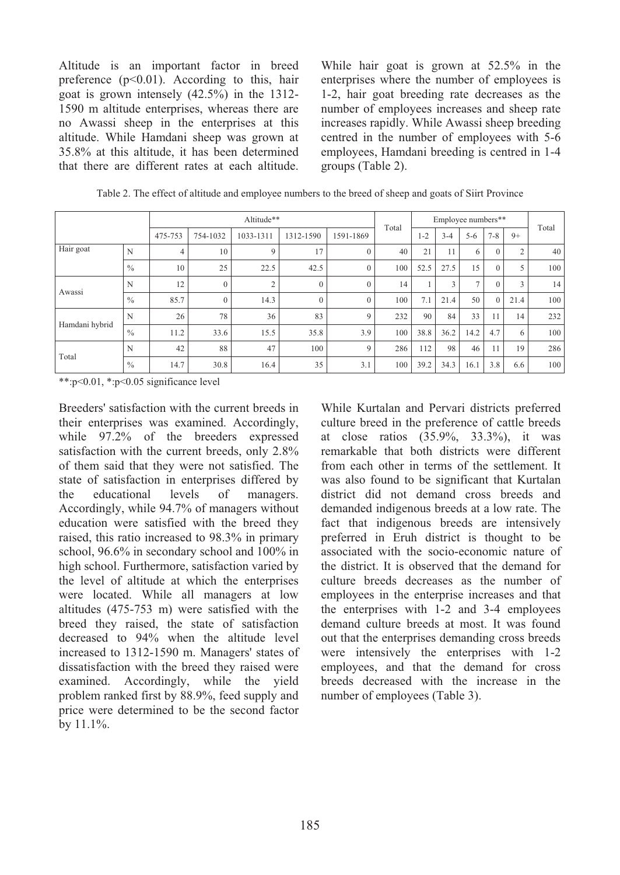Altitude is an important factor in breed preference  $(p<0.01)$ . According to this, hair goat is grown intensely (42.5%) in the 1312- 1590 m altitude enterprises, whereas there are no Awassi sheep in the enterprises at this altitude. While Hamdani sheep was grown at 35.8% at this altitude, it has been determined that there are different rates at each altitude.

While hair goat is grown at 52.5% in the enterprises where the number of employees is 1-2, hair goat breeding rate decreases as the number of employees increases and sheep rate increases rapidly. While Awassi sheep breeding centred in the number of employees with 5-6 employees, Hamdani breeding is centred in 1-4 groups (Table 2).

|                |               |         |          | Altitude** |           |           | Total |         |         | Employee numbers** |          |      |       |
|----------------|---------------|---------|----------|------------|-----------|-----------|-------|---------|---------|--------------------|----------|------|-------|
|                |               | 475-753 | 754-1032 | 1033-1311  | 1312-1590 | 1591-1869 |       | $1 - 2$ | $3 - 4$ | $5 - 6$            | $7 - 8$  | $9+$ | Total |
| Hair goat      | N             | 4       | 10       | 9          | 17        | $\theta$  | 40    | 21      | 11      | 6                  | C        | 2    | 40    |
|                | $\frac{0}{0}$ | 10      | 25       | 22.5       | 42.5      | $\theta$  | 100   | 52.5    | 27.5    | 15                 | $\Omega$ | 5    | 100   |
| Awassi         | N             | 12      | $\theta$ | ◠          |           | $\theta$  | 14    |         | 3       | $\overline{ }$     |          | 3    | 14    |
|                | $\%$          | 85.7    | $\theta$ | 14.3       | $\theta$  | $\theta$  | 100   | 7.1     | 21.4    | 50                 | $\Omega$ | 21.4 | 100   |
| Hamdani hybrid | N             | 26      | 78       | 36         | 83        | 9         | 232   | 90      | 84      | 33                 | 11       | 14   | 232   |
|                | $\%$          | 11.2    | 33.6     | 15.5       | 35.8      | 3.9       | 100   | 38.8    | 36.2    | 14.2               | 4.7      | 6    | 100   |
| Total          | N             | 42      | 88       | 47         | 100       | 9         | 286   | 112     | 98      | 46                 | 11       | 19   | 286   |
|                | $\frac{0}{0}$ | 14.7    | 30.8     | 16.4       | 35        | 3.1       | 100   | 39.2    | 34.3    | 16.1               | 3.8      | 6.6  | 100   |

Table 2. The effect of altitude and employee numbers to the breed of sheep and goats of Siirt Province

\*\*:p<0.01, \*:p<0.05 significance level

Breeders' satisfaction with the current breeds in their enterprises was examined. Accordingly, while 97.2% of the breeders expressed satisfaction with the current breeds, only 2.8% of them said that they were not satisfied. The state of satisfaction in enterprises differed by the educational levels of managers. Accordingly, while 94.7% of managers without education were satisfied with the breed they raised, this ratio increased to 98.3% in primary school, 96.6% in secondary school and 100% in high school. Furthermore, satisfaction varied by the level of altitude at which the enterprises were located. While all managers at low altitudes (475-753 m) were satisfied with the breed they raised, the state of satisfaction decreased to 94% when the altitude level increased to 1312-1590 m. Managers' states of dissatisfaction with the breed they raised were examined. Accordingly, while the yield problem ranked first by 88.9%, feed supply and price were determined to be the second factor by 11.1%.

While Kurtalan and Pervari districts preferred culture breed in the preference of cattle breeds at close ratios (35.9%, 33.3%), it was remarkable that both districts were different from each other in terms of the settlement. It was also found to be significant that Kurtalan district did not demand cross breeds and demanded indigenous breeds at a low rate. The fact that indigenous breeds are intensively preferred in Eruh district is thought to be associated with the socio-economic nature of the district. It is observed that the demand for culture breeds decreases as the number of employees in the enterprise increases and that the enterprises with 1-2 and 3-4 employees demand culture breeds at most. It was found out that the enterprises demanding cross breeds were intensively the enterprises with 1-2 employees, and that the demand for cross breeds decreased with the increase in the number of employees (Table 3).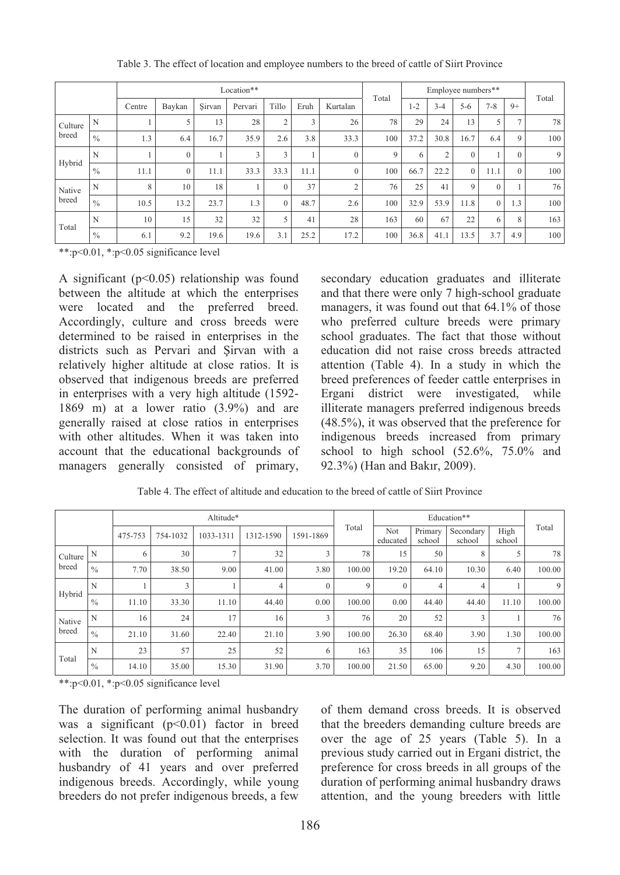|         |               |        |          |        | Location** |          |      |                | Total |         |                | Employee numbers** |          |          | Total |
|---------|---------------|--------|----------|--------|------------|----------|------|----------------|-------|---------|----------------|--------------------|----------|----------|-------|
|         |               | Centre | Baykan   | Sirvan | Pervari    | Tillo    | Eruh | Kurtalan       |       | $1 - 2$ | $3 - 4$        | $5 - 6$            | $7 - 8$  | $9+$     |       |
| Culture | N             |        |          | 13     | 28         | $\sim$   | 3    | 26             | 78    | 29      | 24             | 13                 |          | o        | 78    |
| breed   | $\%$          | 1.3    | 6.4      | 16.7   | 35.9       | 2.6      | 3.8  | 33.3           | 100   | 37.2    | 30.8           | 16.7               | 6.4      | 9        | 100   |
| Hybrid  | N             |        | $\Omega$ |        | 3          | 3        |      | $\mathbf{0}$   | 9     | 6       | $\overline{2}$ | $\Omega$           |          | $\Omega$ | 9     |
|         | $\%$          | 11.1   | $\theta$ | 11.1   | 33.3       | 33.3     | 11.1 | $\mathbf{0}$   | 100   | 66.7    | 22.2           | $\Omega$           | 11.1     | $\Omega$ | 100   |
| Native  | N             | 8      | 10       | 18     |            | $\Omega$ | 37   | $\overline{c}$ | 76    | 25      | 41             | $\mathbf Q$        | $\Omega$ |          | 76 l  |
| breed   | $\frac{0}{0}$ | 10.5   | 13.2     | 23.7   | 1.3        | $\theta$ | 48.7 | 2.6            | 100   | 32.9    | 53.9           | 11.8               | $\theta$ | 1.3      | 100   |
| Total   | N             | 10     | 15       | 32     | 32         | 5        | 41   | 28             | 163   | 60      | 67             | 22                 | 6        | 8        | 163   |
|         | $\frac{0}{0}$ | 6.1    | 9.2      | 19.6   | 19.6       | 3.1      | 25.2 | 17.2           | 100   | 36.8    | 41.1           | 13.5               | 3.7      | 4.9      | 100   |

Table 3. The effect of location and employee numbers to the breed of cattle of Siirt Province

\*\*:p<0.01, \*:p<0.05 significance level

A significant  $(p<0.05)$  relationship was found between the altitude at which the enterprises were located and the preferred breed. Accordingly, culture and cross breeds were determined to be raised in enterprises in the districts such as Pervari and Şirvan with a relatively higher altitude at close ratios. It is observed that indigenous breeds are preferred in enterprises with a very high altitude (1592- 1869 m) at a lower ratio (3.9%) and are generally raised at close ratios in enterprises with other altitudes. When it was taken into account that the educational backgrounds of managers generally consisted of primary,

secondary education graduates and illiterate and that there were only 7 high-school graduate managers, it was found out that 64.1% of those who preferred culture breeds were primary school graduates. The fact that those without education did not raise cross breeds attracted attention (Table 4). In a study in which the breed preferences of feeder cattle enterprises in Ergani district were investigated, while illiterate managers preferred indigenous breeds (48.5%), it was observed that the preference for indigenous breeds increased from primary school to high school  $(52.6\%, 75.0\%$  and 92.3%) (Han and Bakır, 2009).

|         |               |         |          | Altitude*      |           |           |        |                 |                   | Education**         |                |        |
|---------|---------------|---------|----------|----------------|-----------|-----------|--------|-----------------|-------------------|---------------------|----------------|--------|
|         |               | 475-753 | 754-1032 | 1033-1311      | 1312-1590 | 1591-1869 | Total  | Not<br>educated | Primary<br>school | Secondary<br>school | High<br>school | Total  |
| Culture | N             | 6       | 30       | $\overline{7}$ | 32        | 3         | 78     | 15              | 50                | 8                   |                | 78     |
| breed   | $\frac{0}{0}$ | 7.70    | 38.50    | 9.00           | 41.00     | 3.80      | 100.00 | 19.20           | 64.10             | 10.30               | 6.40           | 100.00 |
| Hybrid  | N             |         | 3        |                | 4         | $\Omega$  | 9      | $\Omega$        | 4                 | 4                   |                | 9      |
|         | $\%$          | 11.10   | 33.30    | 11.10          | 44.40     | 0.00      | 100.00 | 0.00            | 44.40             | 44.40               | 11.10          | 100.00 |
| Native  | N             | 16      | 24       | 17             | 16        |           | 76     | 20              | 52                | 3                   |                | 76     |
| breed   | $\frac{0}{0}$ | 21.10   | 31.60    | 22.40          | 21.10     | 3.90      | 100.00 | 26.30           | 68.40             | 3.90                | 1.30           | 100.00 |
| Total   | N             | 23      | 57       | 25             | 52        | 6         | 163    | 35              | 106               | 15                  |                | 163    |
|         | $\frac{0}{0}$ | 14.10   | 35.00    | 15.30          | 31.90     | 3.70      | 100.00 | 21.50           | 65.00             | 9.20                | 4.30           | 100.00 |

Table 4. The effect of altitude and education to the breed of cattle of Siirt Province

\*\*:p<0.01, \*:p<0.05 significance level

The duration of performing animal husbandry was a significant  $(p<0.01)$  factor in breed selection. It was found out that the enterprises with the duration of performing animal husbandry of 41 years and over preferred indigenous breeds. Accordingly, while young breeders do not prefer indigenous breeds, a few of them demand cross breeds. It is observed that the breeders demanding culture breeds are over the age of 25 years (Table 5). In a previous study carried out in Ergani district, the preference for cross breeds in all groups of the duration of performing animal husbandry draws attention, and the young breeders with little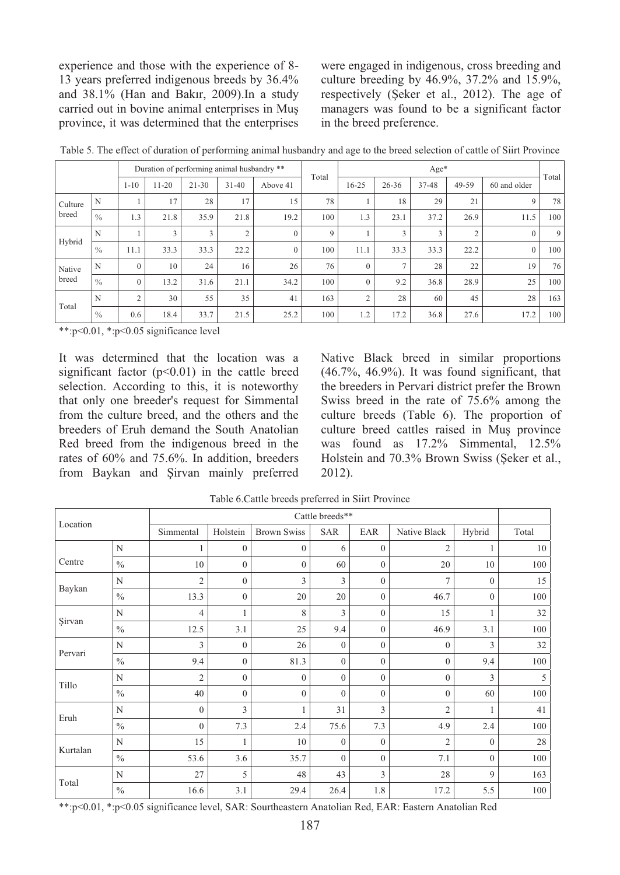experience and those with the experience of 8- 13 years preferred indigenous breeds by 36.4% and 38.1% (Han and Bakır, 2009).In a study carried out in bovine animal enterprises in Muş province, it was determined that the enterprises were engaged in indigenous, cross breeding and culture breeding by 46.9%, 37.2% and 15.9%, respectively (Şeker et al., 2012). The age of managers was found to be a significant factor in the breed preference.

|         |               |                |       |           | Duration of performing animal husbandry ** |          | Total |              |           | $Age*$ |       |              |       |
|---------|---------------|----------------|-------|-----------|--------------------------------------------|----------|-------|--------------|-----------|--------|-------|--------------|-------|
|         |               | $1 - 10$       | 11-20 | $21 - 30$ | $31 - 40$                                  | Above 41 |       | $16 - 25$    | $26 - 36$ | 37-48  | 49-59 | 60 and older | Total |
| Culture | N             |                | 17    | 28        | 17                                         | 15       | 78    |              | 18        | 29     | 21    | 9            | 78    |
| breed   | $\frac{0}{0}$ | 1.3            | 21.8  | 35.9      | 21.8                                       | 19.2     | 100   | 1.3          | 23.1      | 37.2   | 26.9  | 11.5         | 100   |
| Hybrid  | N             |                |       | 3         |                                            | $\Omega$ | 9     |              | 5         | 3      |       | $\mathbf{0}$ | 9     |
|         | $\%$          | 11.1           | 33.3  | 33.3      | 22.2                                       | $\Omega$ | 100   | 11.1         | 33.3      | 33.3   | 22.2  | $\mathbf{0}$ | 100   |
| Native  | N             | $\mathbf{0}$   | 10    | 24        | 16                                         | 26       | 76    | $\mathbf{0}$ |           | 28     | 22    | 19           | 76    |
| breed   | $\frac{0}{0}$ | $\Omega$       | 13.2  | 31.6      | 21.1                                       | 34.2     | 100   | $\Omega$     | 9.2       | 36.8   | 28.9  | 25           | 100   |
| Total   | N             | $\overline{2}$ | 30    | 55        | 35                                         | 41       | 163   | 2            | 28        | 60     | 45    | 28           | 163   |
|         | $\%$          | 0.6            | 18.4  | 33.7      | 21.5                                       | 25.2     | 100   | 1.2          | 17.2      | 36.8   | 27.6  | 17.2         | 100   |

Table 5. The effect of duration of performing animal husbandry and age to the breed selection of cattle of Siirt Province

\*\*:p<0.01, \*:p<0.05 significance level

It was determined that the location was a significant factor  $(p<0.01)$  in the cattle breed selection. According to this, it is noteworthy that only one breeder's request for Simmental from the culture breed, and the others and the breeders of Eruh demand the South Anatolian Red breed from the indigenous breed in the rates of 60% and 75.6%. In addition, breeders from Baykan and Şirvan mainly preferred Native Black breed in similar proportions  $(46.7\% \, 46.9\%)$ . It was found significant, that the breeders in Pervari district prefer the Brown Swiss breed in the rate of 75.6% among the culture breeds (Table 6). The proportion of culture breed cattles raised in Muş province was found as 17.2% Simmental, 12.5% Holstein and 70.3% Brown Swiss (Şeker et al., 2012).

| Location |               |              |                |                    | Cattle breeds** |              |                |              |       |
|----------|---------------|--------------|----------------|--------------------|-----------------|--------------|----------------|--------------|-------|
|          |               | Simmental    | Holstein       | <b>Brown Swiss</b> | <b>SAR</b>      | EAR          | Native Black   | Hybrid       | Total |
|          | N             |              | $\mathbf{0}$   | $\mathbf{0}$       | 6               | $\mathbf{0}$ | 2              |              | 10    |
| Centre   | $\frac{0}{0}$ | 10           | $\mathbf{0}$   | $\mathbf{0}$       | 60              | $\mathbf{0}$ | 20             | 10           | 100   |
|          | N             | 2            | $\mathbf{0}$   | 3                  | 3               | $\mathbf{0}$ | 7              | $\mathbf{0}$ | 15    |
| Baykan   | $\%$          | 13.3         | $\mathbf{0}$   | 20                 | 20              | $\mathbf{0}$ | 46.7           | $\mathbf{0}$ | 100   |
| Sirvan   | N             | 4            | 1              | 8                  | 3               | $\Omega$     | 15             |              | 32    |
| $\%$     |               | 12.5         | 3.1            | 25                 | 9.4             | $\mathbf{0}$ | 46.9           | 3.1          | 100   |
|          | N             | 3            | $\mathbf{0}$   | 26                 | $\mathbf{0}$    | $\mathbf{0}$ | $\mathbf{0}$   | 3            | 32    |
| Pervari  | $\%$          | 9.4          | $\mathbf{0}$   | 81.3               | $\mathbf{0}$    | $\mathbf{0}$ | $\mathbf{0}$   | 9.4          | 100   |
| Tillo    | N             | 2            | $\mathbf{0}$   | $\mathbf{0}$       | $\mathbf{0}$    | $\mathbf{0}$ | $\mathbf{0}$   | 3            | 5     |
|          | $\%$          | 40           | $\mathbf{0}$   | $\mathbf{0}$       | $\Omega$        | $\mathbf{0}$ | $\mathbf{0}$   | 60           | 100   |
| Eruh     | N             | $\mathbf{0}$ | $\overline{3}$ |                    | 31              | 3            | $\overline{2}$ |              | 41    |
|          | $\%$          | $\mathbf{0}$ | 7.3            | 2.4                | 75.6            | 7.3          | 4.9            | 2.4          | 100   |
| Kurtalan | N             | 15           | 1              | 10                 | $\mathbf{0}$    | $\mathbf{0}$ | 2              | $\mathbf{0}$ | 28    |
|          | $\frac{0}{0}$ | 53.6         | 3.6            | 35.7               | $\Omega$        | $\Omega$     | 7.1            | $\mathbf{0}$ | 100   |
|          | N             | 27           | 5              | 48                 | 43              | 3            | 28             | 9            | 163   |
| Total    | $\%$          | 16.6         | 3.1            | 29.4               | 26.4            | 1.8          | 17.2           | 5.5          | 100   |

Table 6.Cattle breeds preferred in Siirt Province

\*\*:p<0.01, \*:p<0.05 significance level, SAR: Sourtheastern Anatolian Red, EAR: Eastern Anatolian Red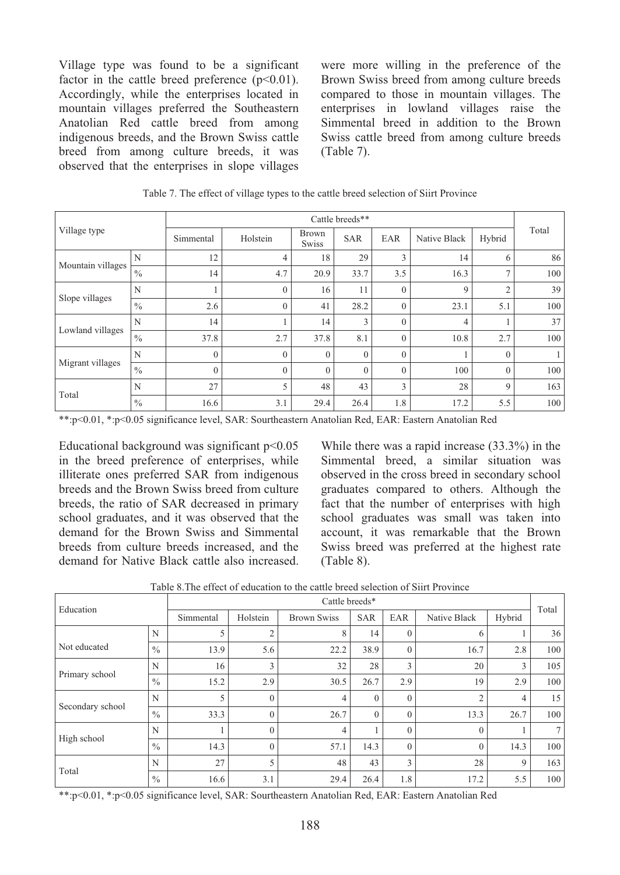Village type was found to be a significant factor in the cattle breed preference  $(p<0.01)$ . Accordingly, while the enterprises located in mountain villages preferred the Southeastern Anatolian Red cattle breed from among indigenous breeds, and the Brown Swiss cattle breed from among culture breeds, it was observed that the enterprises in slope villages were more willing in the preference of the Brown Swiss breed from among culture breeds compared to those in mountain villages. The enterprises in lowland villages raise the Simmental breed in addition to the Brown Swiss cattle breed from among culture breeds (Table 7).

|                   |               |           |                    |                              | Cattle breeds**                 |             |              |                |       |
|-------------------|---------------|-----------|--------------------|------------------------------|---------------------------------|-------------|--------------|----------------|-------|
| Village type      |               | Simmental | Holstein           | <b>Brown</b><br><b>Swiss</b> | <b>SAR</b>                      | EAR         | Native Black | Hybrid         | Total |
|                   | N             | 12        | 4                  | 18                           | 29                              | 3           | 14           | 6              | 86    |
| Mountain villages | $\frac{0}{0}$ | 14        | 4.7                | 20.9                         | 33.7                            | 3.5         | 16.3         | ⇁              | 100   |
|                   | N             |           | $\Omega$           | 16                           | 11                              | $\Omega$    | 9            | $\overline{2}$ | 39    |
| Slope villages    | $\frac{0}{0}$ | 2.6       | $\Omega$           | 41                           | 28.2                            | $\Omega$    | 23.1         | 5.1            | 100   |
|                   | N             | 14        |                    | 14                           | 3<br>$\theta$<br>$\overline{4}$ |             | 37           |                |       |
| Lowland villages  | $\frac{0}{0}$ | 37.8      | 2.7                | 37.8                         | 8.1                             | $\Omega$    | 10.8         | 2.7            | 100   |
|                   | N             | $\theta$  | $\theta$           | $\Omega$                     | $\theta$                        | $\Omega$    |              | $\theta$       | 1     |
| Migrant villages  | $\frac{0}{0}$ | $\theta$  | $\Omega$           | $\Omega$                     | $\Omega$                        | $\Omega$    | 100          | $\Omega$       | 100   |
|                   | N             | 27        | 3<br>5<br>48<br>43 |                              | 28                              | $\mathbf Q$ | 163          |                |       |
| Total             | $\%$          | 16.6      | 3.1                | 29.4                         | 26.4                            | 1.8         | 17.2         | 5.5            | 100   |

Table 7. The effect of village types to the cattle breed selection of Siirt Province

\*\*:p<0.01, \*:p<0.05 significance level, SAR: Sourtheastern Anatolian Red, EAR: Eastern Anatolian Red

Educational background was significant  $p<0.05$ in the breed preference of enterprises, while illiterate ones preferred SAR from indigenous breeds and the Brown Swiss breed from culture breeds, the ratio of SAR decreased in primary school graduates, and it was observed that the demand for the Brown Swiss and Simmental breeds from culture breeds increased, and the demand for Native Black cattle also increased. While there was a rapid increase (33.3%) in the Simmental breed, a similar situation was observed in the cross breed in secondary school graduates compared to others. Although the fact that the number of enterprises with high school graduates was small was taken into account, it was remarkable that the Brown Swiss breed was preferred at the highest rate (Table 8).

| Education        |               |           |          | Cattle breeds*     |            |              |                |        | Total |
|------------------|---------------|-----------|----------|--------------------|------------|--------------|----------------|--------|-------|
|                  |               | Simmental | Holstein | <b>Brown Swiss</b> | <b>SAR</b> | EAR          | Native Black   | Hybrid |       |
|                  | N             | 5         |          | 8                  | 14         | $\theta$     | 6              |        | 36    |
| Not educated     | $\frac{0}{0}$ | 13.9      | 5.6      | 22.2               | 38.9       | $\mathbf{0}$ | 16.7           | 2.8    | 100   |
|                  | N             | 16        |          | 32                 | 28         | 3            | 20             | 3      | 105   |
| Primary school   | $\frac{0}{0}$ | 15.2      | 2.9      | 30.5               | 26.7       | 2.9          | 19             | 2.9    | 100   |
|                  | N             | 5         | $\Omega$ | $\overline{4}$     | $\Omega$   | $\theta$     | $\overline{c}$ | 4      | 15    |
| Secondary school | $\frac{0}{0}$ | 33.3      |          | 26.7               | $\theta$   | $\mathbf{0}$ | 13.3           | 26.7   | 100   |
|                  | N             |           |          | 4                  |            | $\theta$     | $\theta$       |        |       |
| High school      | $\frac{0}{0}$ | 14.3      | $\Omega$ | 57.1               | 14.3       | $\theta$     | $\theta$       | 14.3   | 100   |
| Total            | N             | 27        |          | 48                 | 43         | 3            | 28             | 9      | 163   |
|                  | $\frac{0}{0}$ | 16.6      | 3.1      | 29.4               | 26.4       | 1.8          | 17.2           | 5.5    | 100   |

Table 8.The effect of education to the cattle breed selection of Siirt Province

\*\*:p<0.01, \*:p<0.05 significance level, SAR: Sourtheastern Anatolian Red, EAR: Eastern Anatolian Red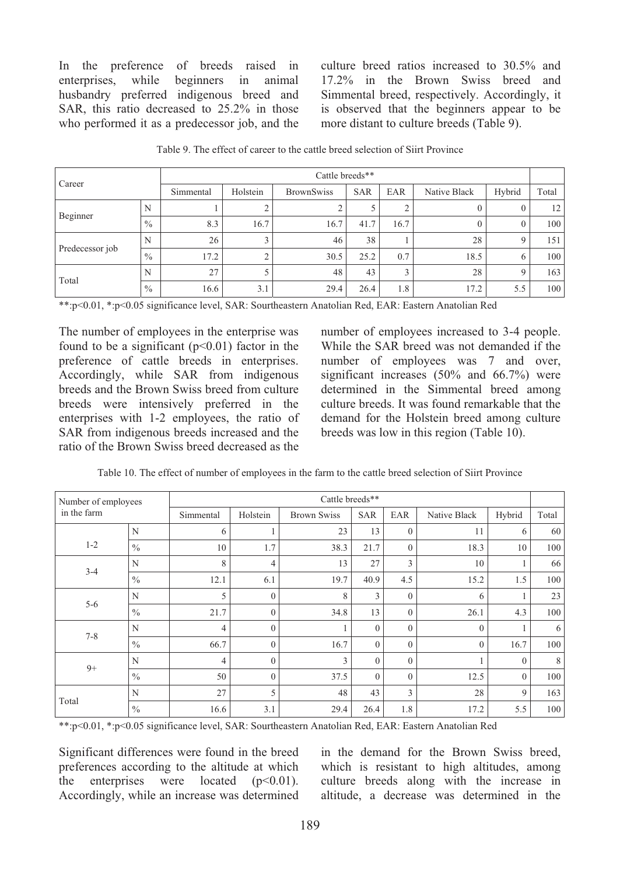In the preference of breeds raised in enterprises, while beginners in animal enterprises, while husbandry preferred indigenous breed and SAR, this ratio decreased to 25.2% in those who performed it as a predecessor job, and the culture breed ratios increased to 30.5% and 17.2% in the Brown Swiss breed and Simmental breed, respectively. Accordingly, it is observed that the beginners appear to be more distant to culture breeds (Table 9).

|                 |               |           |          | Cattle breeds**   |            |      |              |          |                  |
|-----------------|---------------|-----------|----------|-------------------|------------|------|--------------|----------|------------------|
| Career          |               | Simmental | Holstein | <b>BrownSwiss</b> | <b>SAR</b> | EAR  | Native Black | Hybrid   | Total            |
| Beginner        | N             |           |          |                   |            |      | $\theta$     |          | 12 <sup>1</sup>  |
|                 | $\frac{0}{0}$ | 8.3       | 16.7     | 16.7              | 41.7       | 16.7 | $\Omega$     |          | 100 <sup>1</sup> |
|                 | N             | 26        |          | 46                | 38         |      | 28           |          | 151              |
| Predecessor job | $\frac{0}{0}$ | 17.2      |          | 30.5              | 25.2       | 0.7  | 18.5         | $\theta$ | 100 <sup>1</sup> |
|                 | N             | 27        |          | 48                | 43         |      | 28           |          | 163              |
| Total           | $\%$          | 16.6      | 3.1      | 29.4              | 26.4       | 1.8  | 17.2         | 5.5      | 100 <sup>1</sup> |

Table 9. The effect of career to the cattle breed selection of Siirt Province

\*\*:p<0.01, \*:p<0.05 significance level, SAR: Sourtheastern Anatolian Red, EAR: Eastern Anatolian Red

The number of employees in the enterprise was found to be a significant  $(p<0.01)$  factor in the preference of cattle breeds in enterprises. Accordingly, while SAR from indigenous breeds and the Brown Swiss breed from culture breeds were intensively preferred in the enterprises with 1-2 employees, the ratio of SAR from indigenous breeds increased and the ratio of the Brown Swiss breed decreased as the

number of employees increased to 3-4 people. While the SAR breed was not demanded if the number of employees was 7 and over, significant increases (50% and 66.7%) were determined in the Simmental breed among culture breeds. It was found remarkable that the demand for the Holstein breed among culture breeds was low in this region (Table 10).

|  | Table 10. The effect of number of employees in the farm to the cattle breed selection of Siirt Province |  |  |  |  |
|--|---------------------------------------------------------------------------------------------------------|--|--|--|--|
|  |                                                                                                         |  |  |  |  |

| Number of employees |               |                |              | Cattle breeds**    |            |              |              |          |       |
|---------------------|---------------|----------------|--------------|--------------------|------------|--------------|--------------|----------|-------|
| in the farm         |               | Simmental      | Holstein     | <b>Brown Swiss</b> | <b>SAR</b> | EAR          | Native Black | Hybrid   | Total |
|                     | N             | 6              |              | 23                 | 13         | $\mathbf{0}$ | 11           | 6        | 60    |
| $1 - 2$             | $\frac{0}{0}$ | 10             | 1.7          | 38.3               | 21.7       | $\Omega$     | 18.3         | 10       | 100   |
| $3 - 4$             | N             | 8              | 4            | 13                 | 27         | 3            | 10           |          | 66    |
|                     | $\%$          | 12.1           | 6.1          | 19.7               | 40.9       | 4.5          | 15.2         | 1.5      | 100   |
| $5 - 6$             | N             | 5              | $\Omega$     | 8                  | 3          | $\mathbf{0}$ | 6            |          | 23    |
|                     | $\frac{0}{0}$ | 21.7           | $\Omega$     | 34.8               | 13         | $\mathbf{0}$ | 26.1         | 4.3      | 100   |
| $7 - 8$             | N             | $\overline{4}$ | $\Omega$     | 1                  | $\Omega$   | $\theta$     | $\mathbf{0}$ |          | 6     |
|                     | $\frac{0}{0}$ | 66.7           | $\mathbf{0}$ | 16.7               | $\theta$   | $\mathbf{0}$ | $\mathbf{0}$ | 16.7     | 100   |
| $9+$                | N             | $\overline{4}$ | $\theta$     | $\mathbf{3}$       | $\Omega$   | $\theta$     |              | $\theta$ | 8     |
|                     | $\frac{0}{0}$ | 50             | $\Omega$     | 37.5               | $\Omega$   | $\theta$     | 12.5         | $\theta$ | 100   |
| Total               | N             | 27             | 5            | 48                 | 43         | 3            | 28           | 9        | 163   |
|                     | $\%$          | 16.6           | 3.1          | 29.4               | 26.4       | 1.8          | 17.2         | 5.5      | 100   |

\*\*:p<0.01, \*:p<0.05 significance level, SAR: Sourtheastern Anatolian Red, EAR: Eastern Anatolian Red

Significant differences were found in the breed preferences according to the altitude at which the enterprises were located  $(p<0.01)$ . Accordingly, while an increase was determined in the demand for the Brown Swiss breed, which is resistant to high altitudes, among culture breeds along with the increase in altitude, a decrease was determined in the